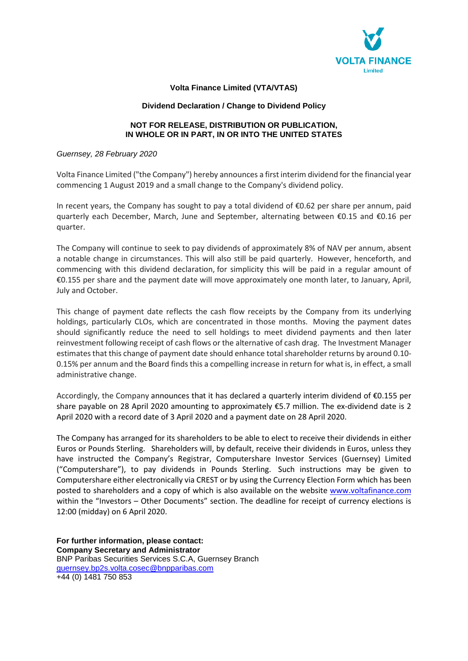

# **Volta Finance Limited (VTA/VTAS)**

## **Dividend Declaration / Change to Dividend Policy**

# **NOT FOR RELEASE, DISTRIBUTION OR PUBLICATION, IN WHOLE OR IN PART, IN OR INTO THE UNITED STATES**

## *Guernsey, 28 February 2020*

Volta Finance Limited ("the Company") hereby announces a first interim dividend for the financial year commencing 1 August 2019 and a small change to the Company's dividend policy.

In recent years, the Company has sought to pay a total dividend of €0.62 per share per annum, paid quarterly each December, March, June and September, alternating between €0.15 and €0.16 per quarter.

The Company will continue to seek to pay dividends of approximately 8% of NAV per annum, absent a notable change in circumstances. This will also still be paid quarterly. However, henceforth, and commencing with this dividend declaration, for simplicity this will be paid in a regular amount of €0.155 per share and the payment date will move approximately one month later, to January, April, July and October.

This change of payment date reflects the cash flow receipts by the Company from its underlying holdings, particularly CLOs, which are concentrated in those months. Moving the payment dates should significantly reduce the need to sell holdings to meet dividend payments and then later reinvestment following receipt of cash flows or the alternative of cash drag. The Investment Manager estimates that this change of payment date should enhance total shareholder returns by around 0.10- 0.15% per annum and the Board finds this a compelling increase in return for what is, in effect, a small administrative change.

Accordingly, the Company announces that it has declared a quarterly interim dividend of €0.155 per share payable on 28 April 2020 amounting to approximately €5.7 million. The ex-dividend date is 2 April 2020 with a record date of 3 April 2020 and a payment date on 28 April 2020.

The Company has arranged for its shareholders to be able to elect to receive their dividends in either Euros or Pounds Sterling. Shareholders will, by default, receive their dividends in Euros, unless they have instructed the Company's Registrar, Computershare Investor Services (Guernsey) Limited ("Computershare"), to pay dividends in Pounds Sterling. Such instructions may be given to Computershare either electronically via CREST or by using the Currency Election Form which has been posted to shareholders and a copy of which is also available on the website www.voltafinance.com within the "Investors – Other Documents" section. The deadline for receipt of currency elections is 12:00 (midday) on 6 April 2020.

**For further information, please contact: Company Secretary and Administrator**  BNP Paribas Securities Services S.C.A, Guernsey Branch guernsey.bp2s.volta.cosec@bnpparibas.com +44 (0) 1481 750 853